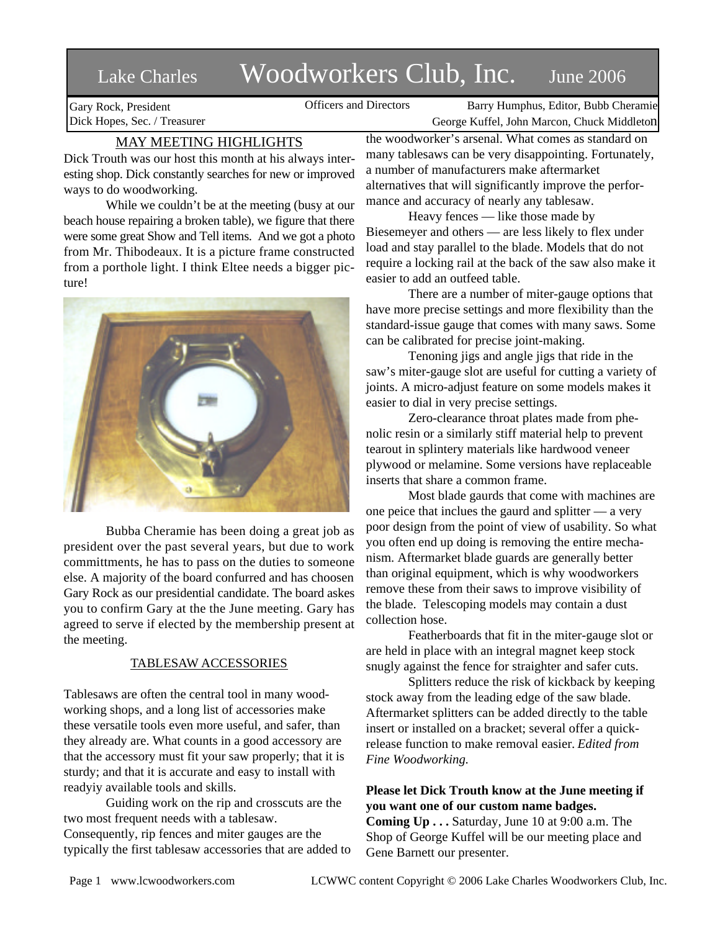# Lake Charles Woodworkers Club, Inc. June 2006

Gary Rock, President Dick Hopes, Sec. / Treasurer

Officers and Directors Barry Humphus, Editor, Bubb Cheramie George Kuffel, John Marcon, Chuck Middleton

# MAY MEETING HIGHLIGHTS

Dick Trouth was our host this month at his always interesting shop. Dick constantly searches for new or improved ways to do woodworking.

While we couldn't be at the meeting (busy at our beach house repairing a broken table), we figure that there were some great Show and Tell items. And we got a photo from Mr. Thibodeaux. It is a picture frame constructed from a porthole light. I think Eltee needs a bigger picture!



Bubba Cheramie has been doing a great job as president over the past several years, but due to work committments, he has to pass on the duties to someone else. A majority of the board confurred and has choosen Gary Rock as our presidential candidate. The board askes you to confirm Gary at the the June meeting. Gary has agreed to serve if elected by the membership present at the meeting.

## TABLESAW ACCESSORIES

Tablesaws are often the central tool in many woodworking shops, and a long list of accessories make these versatile tools even more useful, and safer, than they already are. What counts in a good accessory are that the accessory must fit your saw properly; that it is sturdy; and that it is accurate and easy to install with readyiy available tools and skills.

Guiding work on the rip and crosscuts are the two most frequent needs with a tablesaw. Consequently, rip fences and miter gauges are the typically the first tablesaw accessories that are added to

the woodworker's arsenal. What comes as standard on many tablesaws can be very disappointing. Fortunately, a number of manufacturers make aftermarket alternatives that will significantly improve the performance and accuracy of nearly any tablesaw.

Heavy fences — like those made by Biesemeyer and others — are less likely to flex under load and stay parallel to the blade. Models that do not require a locking rail at the back of the saw also make it easier to add an outfeed table.

There are a number of miter-gauge options that have more precise settings and more flexibility than the standard-issue gauge that comes with many saws. Some can be calibrated for precise joint-making.

Tenoning jigs and angle jigs that ride in the saw's miter-gauge slot are useful for cutting a variety of joints. A micro-adjust feature on some models makes it easier to dial in very precise settings.

Zero-clearance throat plates made from phenolic resin or a similarly stiff material help to prevent tearout in splintery materials like hardwood veneer plywood or melamine. Some versions have replaceable inserts that share a common frame.

Most blade gaurds that come with machines are one peice that inclues the gaurd and splitter — a very poor design from the point of view of usability. So what you often end up doing is removing the entire mechanism. Aftermarket blade guards are generally better than original equipment, which is why woodworkers remove these from their saws to improve visibility of the blade. Telescoping models may contain a dust collection hose.

Featherboards that fit in the miter-gauge slot or are held in place with an integral magnet keep stock snugly against the fence for straighter and safer cuts.

Splitters reduce the risk of kickback by keeping stock away from the leading edge of the saw blade. Aftermarket splitters can be added directly to the table insert or installed on a bracket; several offer a quickrelease function to make removal easier. *Edited from Fine Woodworking.*

## **Please let Dick Trouth know at the June meeting if you want one of our custom name badges.**

**Coming Up . . .** Saturday, June 10 at 9:00 a.m. The Shop of George Kuffel will be our meeting place and Gene Barnett our presenter.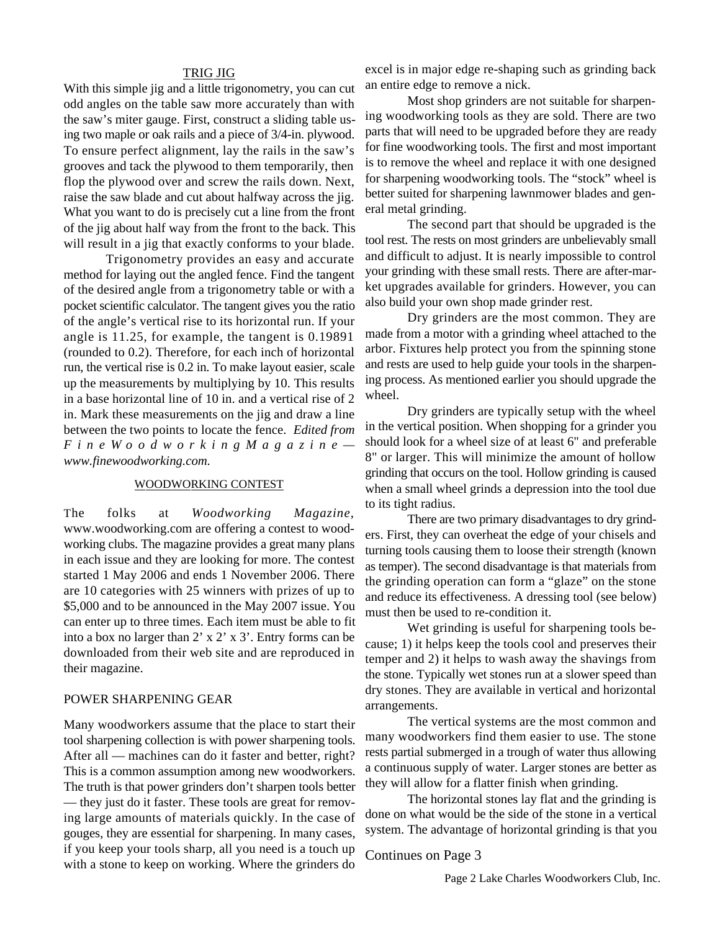#### TRIG JIG

With this simple jig and a little trigonometry, you can cut odd angles on the table saw more accurately than with the saw's miter gauge. First, construct a sliding table using two maple or oak rails and a piece of 3/4-in. plywood. To ensure perfect alignment, lay the rails in the saw's grooves and tack the plywood to them temporarily, then flop the plywood over and screw the rails down. Next, raise the saw blade and cut about halfway across the jig. What you want to do is precisely cut a line from the front of the jig about half way from the front to the back. This will result in a jig that exactly conforms to your blade.

Trigonometry provides an easy and accurate method for laying out the angled fence. Find the tangent of the desired angle from a trigonometry table or with a pocket scientific calculator. The tangent gives you the ratio of the angle's vertical rise to its horizontal run. If your angle is 11.25, for example, the tangent is 0.19891 (rounded to 0.2). Therefore, for each inch of horizontal run, the vertical rise is 0.2 in. To make layout easier, scale up the measurements by multiplying by 10. This results in a base horizontal line of 10 in. and a vertical rise of 2 in. Mark these measurements on the jig and draw a line between the two points to locate the fence. *Edited from F i n e W o o d w o r k i n g M a g a z i n e www.finewoodworking.com.*

#### WOODWORKING CONTEST

The folks at *Woodworking Magazine,* www.woodworking.com are offering a contest to woodworking clubs. The magazine provides a great many plans in each issue and they are looking for more. The contest started 1 May 2006 and ends 1 November 2006. There are 10 categories with 25 winners with prizes of up to \$5,000 and to be announced in the May 2007 issue. You can enter up to three times. Each item must be able to fit into a box no larger than 2' x 2' x 3'. Entry forms can be downloaded from their web site and are reproduced in their magazine.

## POWER SHARPENING GEAR

Many woodworkers assume that the place to start their tool sharpening collection is with power sharpening tools. After all — machines can do it faster and better, right? This is a common assumption among new woodworkers. The truth is that power grinders don't sharpen tools better — they just do it faster. These tools are great for removing large amounts of materials quickly. In the case of gouges, they are essential for sharpening. In many cases, if you keep your tools sharp, all you need is a touch up with a stone to keep on working. Where the grinders do

excel is in major edge re-shaping such as grinding back an entire edge to remove a nick.

Most shop grinders are not suitable for sharpening woodworking tools as they are sold. There are two parts that will need to be upgraded before they are ready for fine woodworking tools. The first and most important is to remove the wheel and replace it with one designed for sharpening woodworking tools. The "stock" wheel is better suited for sharpening lawnmower blades and general metal grinding.

The second part that should be upgraded is the tool rest. The rests on most grinders are unbelievably small and difficult to adjust. It is nearly impossible to control your grinding with these small rests. There are after-market upgrades available for grinders. However, you can also build your own shop made grinder rest.

Dry grinders are the most common. They are made from a motor with a grinding wheel attached to the arbor. Fixtures help protect you from the spinning stone and rests are used to help guide your tools in the sharpening process. As mentioned earlier you should upgrade the wheel.

Dry grinders are typically setup with the wheel in the vertical position. When shopping for a grinder you should look for a wheel size of at least 6" and preferable 8" or larger. This will minimize the amount of hollow grinding that occurs on the tool. Hollow grinding is caused when a small wheel grinds a depression into the tool due to its tight radius.

There are two primary disadvantages to dry grinders. First, they can overheat the edge of your chisels and turning tools causing them to loose their strength (known as temper). The second disadvantage is that materials from the grinding operation can form a "glaze" on the stone and reduce its effectiveness. A dressing tool (see below) must then be used to re-condition it.

Wet grinding is useful for sharpening tools because; 1) it helps keep the tools cool and preserves their temper and 2) it helps to wash away the shavings from the stone. Typically wet stones run at a slower speed than dry stones. They are available in vertical and horizontal arrangements.

The vertical systems are the most common and many woodworkers find them easier to use. The stone rests partial submerged in a trough of water thus allowing a continuous supply of water. Larger stones are better as they will allow for a flatter finish when grinding.

The horizontal stones lay flat and the grinding is done on what would be the side of the stone in a vertical system. The advantage of horizontal grinding is that you

Continues on Page 3